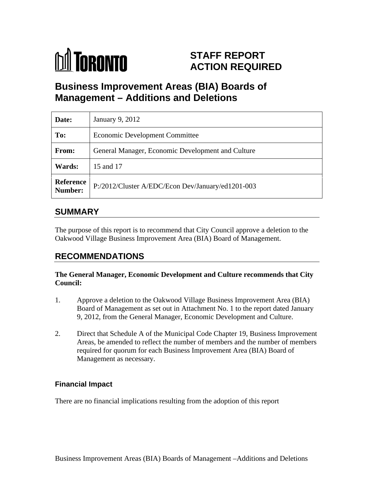

# **STAFF REPORT ACTION REQUIRED**

# **Business Improvement Areas (BIA) Boards of Management – Additions and Deletions**

| Date:  | January 9, 2012                                             |
|--------|-------------------------------------------------------------|
| To:    | Economic Development Committee                              |
| From:  | General Manager, Economic Development and Culture           |
| Wards: | 15 and 17                                                   |
|        | Reference P:/2012/Cluster A/EDC/Econ Dev/January/ed1201-003 |

# **SUMMARY**

The purpose of this report is to recommend that City Council approve a deletion to the Oakwood Village Business Improvement Area (BIA) Board of Management.

# **RECOMMENDATIONS**

#### **The General Manager, Economic Development and Culture recommends that City Council:**

- 1. Approve a deletion to the Oakwood Village Business Improvement Area (BIA) Board of Management as set out in Attachment No. 1 to the report dated January 9, 2012, from the General Manager, Economic Development and Culture.
- 2. Direct that Schedule A of the Municipal Code Chapter 19, Business Improvement Areas, be amended to reflect the number of members and the number of members required for quorum for each Business Improvement Area (BIA) Board of Management as necessary.

#### **Financial Impact**

There are no financial implications resulting from the adoption of this report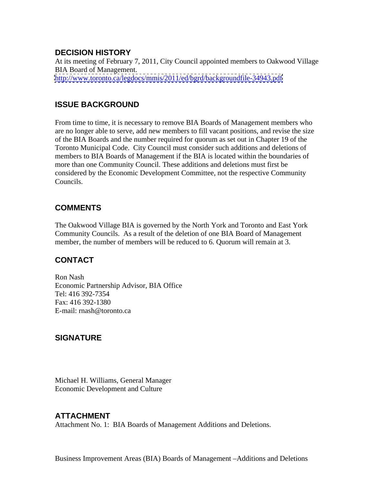#### **DECISION HISTORY**

At its meeting of February 7, 2011, City Council appointed members to Oakwood Village BIA Board of Management. <http://www.toronto.ca/legdocs/mmis/2011/ed/bgrd/backgroundfile-34943.pdf>

## **ISSUE BACKGROUND**

From time to time, it is necessary to remove BIA Boards of Management members who are no longer able to serve, add new members to fill vacant positions, and revise the size of the BIA Boards and the number required for quorum as set out in Chapter 19 of the Toronto Municipal Code. City Council must consider such additions and deletions of members to BIA Boards of Management if the BIA is located within the boundaries of more than one Community Council. These additions and deletions must first be considered by the Economic Development Committee, not the respective Community Councils.

#### **COMMENTS**

The Oakwood Village BIA is governed by the North York and Toronto and East York Community Councils. As a result of the deletion of one BIA Board of Management member, the number of members will be reduced to 6. Quorum will remain at 3.

## **CONTACT**

Ron Nash Economic Partnership Advisor, BIA Office Tel: 416 392-7354 Fax: 416 392-1380 E-mail: rnash@toronto.ca

## **SIGNATURE**

Michael H. Williams, General Manager Economic Development and Culture

## **ATTACHMENT**

Attachment No. 1: BIA Boards of Management Additions and Deletions.